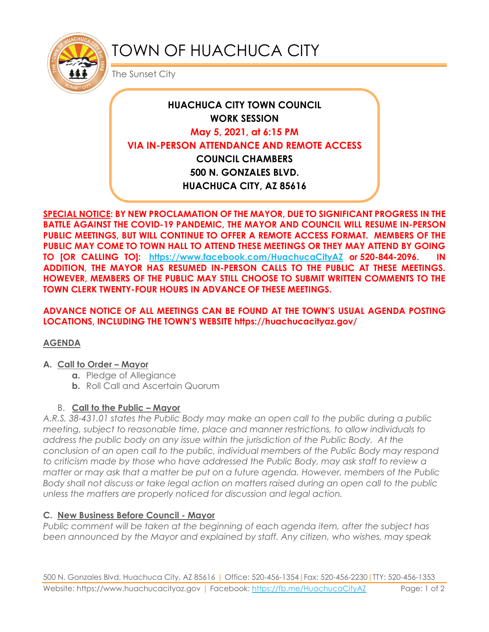

# TOWN OF HUACHUCA CITY

The Sunset City

## **HUACHUCA CITY TOWN COUNCIL WORK SESSION May 5, 2021, at 6:15 PM VIA IN-PERSON ATTENDANCE AND REMOTE ACCESS COUNCIL CHAMBERS 500 N. GONZALES BLVD. HUACHUCA CITY, AZ 85616**

**SPECIAL NOTICE: BY NEW PROCLAMATION OF THE MAYOR, DUE TO SIGNIFICANT PROGRESS IN THE BATTLE AGAINST THE COVID-19 PANDEMIC, THE MAYOR AND COUNCIL WILL RESUME IN-PERSON PUBLIC MEETINGS, BUT WILL CONTINUE TO OFFER A REMOTE ACCESS FORMAT. MEMBERS OF THE PUBLIC MAY COME TO TOWN HALL TO ATTEND THESE MEETINGS OR THEY MAY ATTEND BY GOING TO [OR CALLING TO]: <https://www.facebook.com/HuachucaCityAZ> or 520-844-2096. IN ADDITION, THE MAYOR HAS RESUMED IN-PERSON CALLS TO THE PUBLIC AT THESE MEETINGS. HOWEVER, MEMBERS OF THE PUBLIC MAY STILL CHOOSE TO SUBMIT WRITTEN COMMENTS TO THE TOWN CLERK TWENTY-FOUR HOURS IN ADVANCE OF THESE MEETINGS.** 

**ADVANCE NOTICE OF ALL MEETINGS CAN BE FOUND AT THE TOWN'S USUAL AGENDA POSTING LOCATIONS, INCLUDING THE TOWN'S WEBSITE https://huachucacityaz.gov/**

### **AGENDA**

#### **A. Call to Order – Mayor**

- **a.** Pledge of Allegiance
- **b.** Roll Call and Ascertain Quorum

### B. **Call to the Public – Mayor**

*A.R.S. 38-431.01 states the Public Body may make an open call to the public during a public meeting, subject to reasonable time, place and manner restrictions, to allow individuals to address the public body on any issue within the jurisdiction of the Public Body. At the conclusion of an open call to the public, individual members of the Public Body may respond to criticism made by those who have addressed the Public Body, may ask staff to review a matter or may ask that a matter be put on a future agenda. However, members of the Public Body shall not discuss or take legal action on matters raised during an open call to the public unless the matters are properly noticed for discussion and legal action.*

### **C. New Business Before Council - Mayor**

*Public comment will be taken at the beginning of each agenda item, after the subject has been announced by the Mayor and explained by staff. Any citizen, who wishes, may speak*